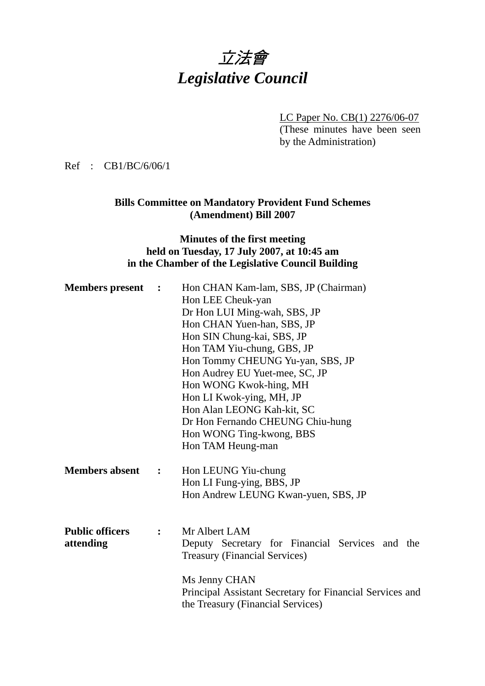# 立法會 *Legislative Council*

LC Paper No. CB(1) 2276/06-07 (These minutes have been seen by the Administration)

Ref : CB1/BC/6/06/1

### **Bills Committee on Mandatory Provident Fund Schemes (Amendment) Bill 2007**

### **Minutes of the first meeting held on Tuesday, 17 July 2007, at 10:45 am in the Chamber of the Legislative Council Building**

| Hon CHAN Kam-lam, SBS, JP (Chairman)<br><b>Members present :</b> |                |                                                          |  |
|------------------------------------------------------------------|----------------|----------------------------------------------------------|--|
|                                                                  |                | Hon LEE Cheuk-yan                                        |  |
|                                                                  |                | Dr Hon LUI Ming-wah, SBS, JP                             |  |
|                                                                  |                | Hon CHAN Yuen-han, SBS, JP                               |  |
|                                                                  |                | Hon SIN Chung-kai, SBS, JP                               |  |
|                                                                  |                | Hon TAM Yiu-chung, GBS, JP                               |  |
|                                                                  |                | Hon Tommy CHEUNG Yu-yan, SBS, JP                         |  |
|                                                                  |                | Hon Audrey EU Yuet-mee, SC, JP                           |  |
|                                                                  |                | Hon WONG Kwok-hing, MH                                   |  |
|                                                                  |                | Hon LI Kwok-ying, MH, JP                                 |  |
|                                                                  |                | Hon Alan LEONG Kah-kit, SC                               |  |
|                                                                  |                | Dr Hon Fernando CHEUNG Chiu-hung                         |  |
|                                                                  |                | Hon WONG Ting-kwong, BBS                                 |  |
|                                                                  |                | Hon TAM Heung-man                                        |  |
| <b>Members absent</b>                                            | $\ddot{\cdot}$ | Hon LEUNG Yiu-chung                                      |  |
|                                                                  |                | Hon LI Fung-ying, BBS, JP                                |  |
|                                                                  |                | Hon Andrew LEUNG Kwan-yuen, SBS, JP                      |  |
|                                                                  |                |                                                          |  |
| <b>Public officers</b>                                           | $\ddot{\cdot}$ | Mr Albert LAM                                            |  |
| attending                                                        |                | Deputy Secretary for Financial Services and the          |  |
|                                                                  |                | <b>Treasury (Financial Services)</b>                     |  |
|                                                                  |                | Ms Jenny CHAN                                            |  |
|                                                                  |                | Principal Assistant Secretary for Financial Services and |  |
|                                                                  |                | the Treasury (Financial Services)                        |  |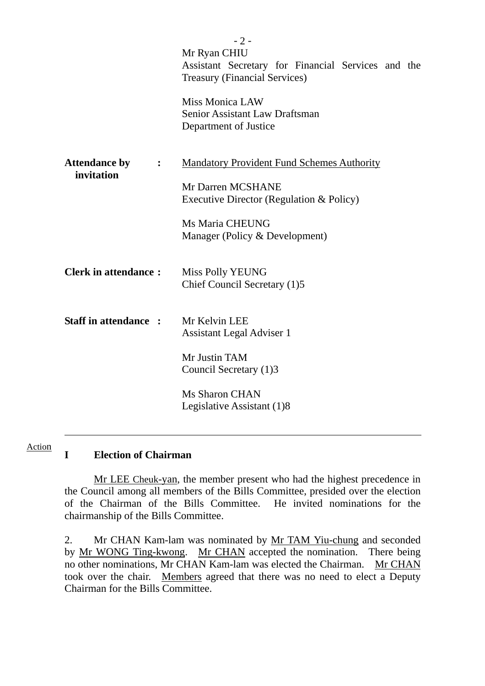|                                                      | $-2-$                                                                             |
|------------------------------------------------------|-----------------------------------------------------------------------------------|
|                                                      | Mr Ryan CHIU                                                                      |
|                                                      | Assistant Secretary for Financial Services and the                                |
|                                                      | <b>Treasury (Financial Services)</b>                                              |
|                                                      | <b>Miss Monica LAW</b><br>Senior Assistant Law Draftsman<br>Department of Justice |
| <b>Attendance by</b><br>$\ddot{\cdot}$<br>invitation | <b>Mandatory Provident Fund Schemes Authority</b>                                 |
|                                                      | Mr Darren MCSHANE                                                                 |
|                                                      | Executive Director (Regulation & Policy)                                          |
|                                                      |                                                                                   |
|                                                      | Ms Maria CHEUNG                                                                   |
|                                                      | Manager (Policy & Development)                                                    |
| <b>Clerk in attendance:</b>                          | Miss Polly YEUNG<br>Chief Council Secretary (1)5                                  |
| <b>Staff in attendance:</b>                          | Mr Kelvin LEE<br><b>Assistant Legal Adviser 1</b>                                 |
|                                                      | Mr Justin TAM<br>Council Secretary (1)3                                           |
|                                                      | Ms Sharon CHAN<br>Legislative Assistant (1)8                                      |
|                                                      |                                                                                   |

#### **I Election of Chairman**  Action

l

 Mr LEE Cheuk-yan, the member present who had the highest precedence in the Council among all members of the Bills Committee, presided over the election of the Chairman of the Bills Committee. He invited nominations for the chairmanship of the Bills Committee.

2. Mr CHAN Kam-lam was nominated by Mr TAM Yiu-chung and seconded by Mr WONG Ting-kwong. Mr CHAN accepted the nomination. There being no other nominations, Mr CHAN Kam-lam was elected the Chairman. Mr CHAN took over the chair. Members agreed that there was no need to elect a Deputy Chairman for the Bills Committee.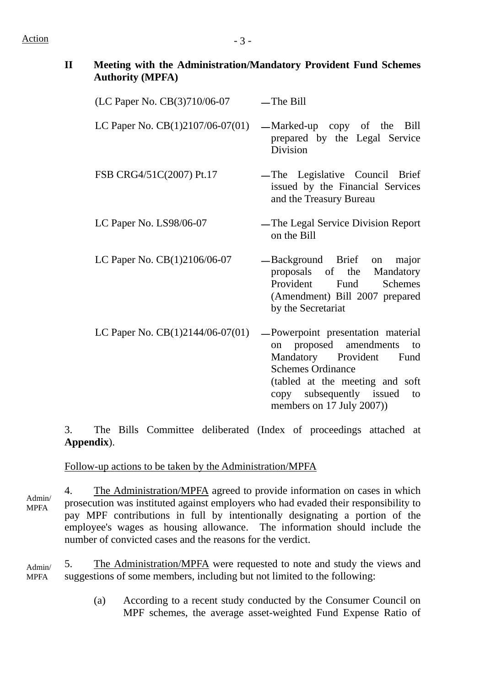## $Action$   $-3 -$

| Meeting with the Administration/Mandatory Provident Fund Schemes |
|------------------------------------------------------------------|
| <b>Authority (MPFA)</b>                                          |

| (LC Paper No. CB(3)710/06-07       | $-$ The Bill                                                                                                                                                                                |
|------------------------------------|---------------------------------------------------------------------------------------------------------------------------------------------------------------------------------------------|
| LC Paper No. CB(1)2107/06-07(01)   | -Marked-up copy of the Bill<br>prepared by the Legal Service<br>Division                                                                                                                    |
| FSB CRG4/51C(2007) Pt.17           | -The Legislative Council Brief<br>issued by the Financial Services<br>and the Treasury Bureau                                                                                               |
| LC Paper No. LS98/06-07            | -The Legal Service Division Report<br>on the Bill                                                                                                                                           |
| LC Paper No. CB(1)2106/06-07       | -Background Brief on major<br>proposals of the Mandatory<br>Provident Fund Schemes<br>(Amendment) Bill 2007 prepared<br>by the Secretariat                                                  |
| LC Paper No. $CB(1)2144/06-07(01)$ | -Powerpoint presentation material<br>on proposed amendments to<br>Mandatory Provident Fund<br><b>Schemes Ordinance</b><br>(tabled at the meeting and soft<br>copy subsequently issued<br>to |

3. The Bills Committee deliberated (Index of proceedings attached at **Appendix**).

members on 17 July 2007))

Follow-up actions to be taken by the Administration/MPFA

4. The Administration/MPFA agreed to provide information on cases in which prosecution was instituted against employers who had evaded their responsibility to pay MPF contributions in full by intentionally designating a portion of the employee's wages as housing allowance. The information should include the number of convicted cases and the reasons for the verdict. Admin/ MPFA

5. The Administration/MPFA were requested to note and study the views and suggestions of some members, including but not limited to the following: Admin/ MPFA

> (a) According to a recent study conducted by the Consumer Council on MPF schemes, the average asset-weighted Fund Expense Ratio of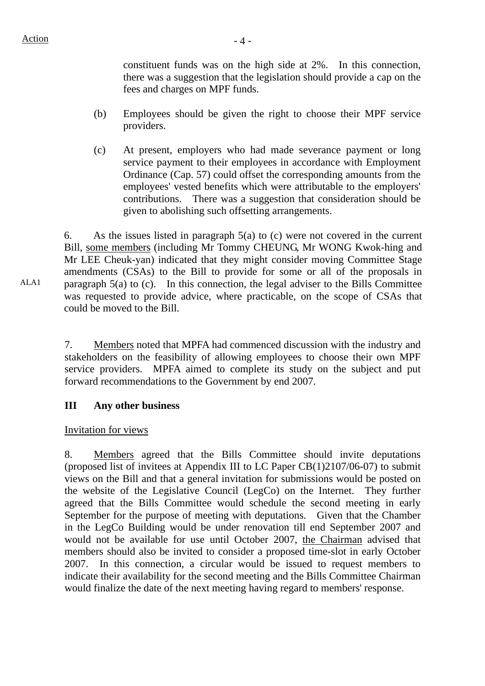constituent funds was on the high side at 2%. In this connection, there was a suggestion that the legislation should provide a cap on the fees and charges on MPF funds.

- (b) Employees should be given the right to choose their MPF service providers.
- (c) At present, employers who had made severance payment or long service payment to their employees in accordance with Employment Ordinance (Cap. 57) could offset the corresponding amounts from the employees' vested benefits which were attributable to the employers' contributions. There was a suggestion that consideration should be given to abolishing such offsetting arrangements.

6. As the issues listed in paragraph 5(a) to (c) were not covered in the current Bill, some members (including Mr Tommy CHEUNG, Mr WONG Kwok-hing and Mr LEE Cheuk-yan) indicated that they might consider moving Committee Stage amendments (CSAs) to the Bill to provide for some or all of the proposals in paragraph 5(a) to (c). In this connection, the legal adviser to the Bills Committee was requested to provide advice, where practicable, on the scope of CSAs that could be moved to the Bill.

7. Members noted that MPFA had commenced discussion with the industry and stakeholders on the feasibility of allowing employees to choose their own MPF service providers. MPFA aimed to complete its study on the subject and put forward recommendations to the Government by end 2007.

### **III Any other business**

### Invitation for views

8. Members agreed that the Bills Committee should invite deputations (proposed list of invitees at Appendix III to LC Paper CB(1)2107/06-07) to submit views on the Bill and that a general invitation for submissions would be posted on the website of the Legislative Council (LegCo) on the Internet. They further agreed that the Bills Committee would schedule the second meeting in early September for the purpose of meeting with deputations. Given that the Chamber in the LegCo Building would be under renovation till end September 2007 and would not be available for use until October 2007, the Chairman advised that members should also be invited to consider a proposed time-slot in early October 2007. In this connection, a circular would be issued to request members to indicate their availability for the second meeting and the Bills Committee Chairman would finalize the date of the next meeting having regard to members' response.

ALA1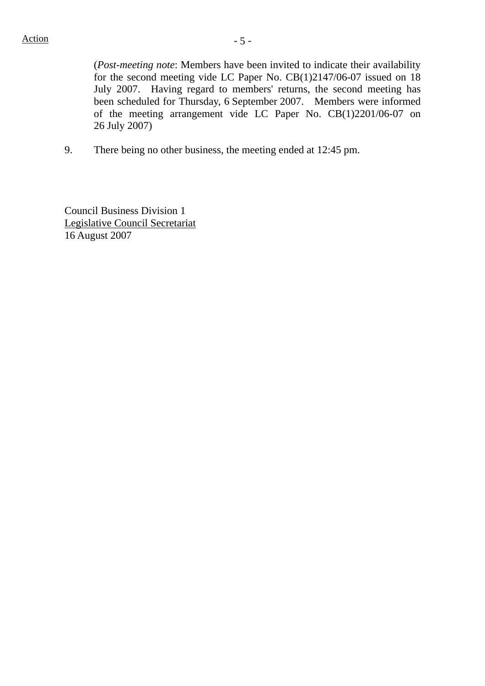(*Post-meeting note*: Members have been invited to indicate their availability for the second meeting vide LC Paper No. CB(1)2147/06-07 issued on 18 July 2007. Having regard to members' returns, the second meeting has been scheduled for Thursday, 6 September 2007. Members were informed of the meeting arrangement vide LC Paper No. CB(1)2201/06-07 on 26 July 2007)

9. There being no other business, the meeting ended at 12:45 pm.

Council Business Division 1 Legislative Council Secretariat 16 August 2007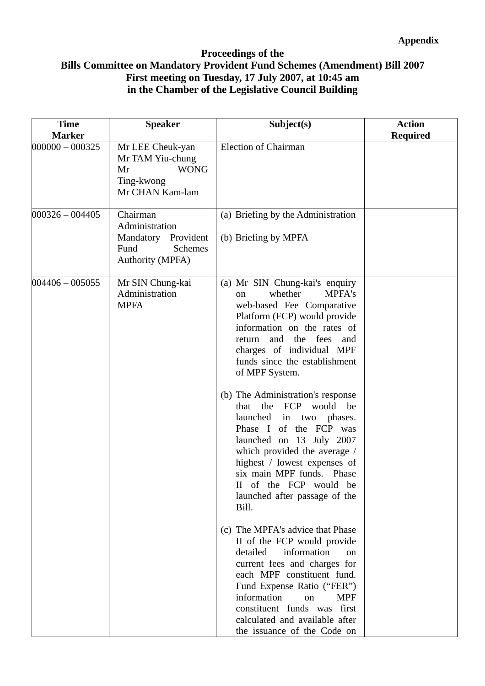### **Proceedings of the Bills Committee on Mandatory Provident Fund Schemes (Amendment) Bill 2007 First meeting on Tuesday, 17 July 2007, at 10:45 am in the Chamber of the Legislative Council Building**

| <b>Time</b><br><b>Marker</b> | <b>Speaker</b>                                                                                         | Subject(s)                                                                                                                                                                                                                                                                                                                                                                                                                                                                                                                                                                                                | <b>Action</b><br><b>Required</b> |
|------------------------------|--------------------------------------------------------------------------------------------------------|-----------------------------------------------------------------------------------------------------------------------------------------------------------------------------------------------------------------------------------------------------------------------------------------------------------------------------------------------------------------------------------------------------------------------------------------------------------------------------------------------------------------------------------------------------------------------------------------------------------|----------------------------------|
| $000000 - 000325$            | Mr LEE Cheuk-yan<br>Mr TAM Yiu-chung<br><b>WONG</b><br>Mr<br>Ting-kwong<br>Mr CHAN Kam-lam             | Election of Chairman                                                                                                                                                                                                                                                                                                                                                                                                                                                                                                                                                                                      |                                  |
| $000326 - 004405$            | Chairman<br>Administration<br>Mandatory Provident<br><b>Schemes</b><br>Fund<br><b>Authority (MPFA)</b> | (a) Briefing by the Administration<br>(b) Briefing by MPFA                                                                                                                                                                                                                                                                                                                                                                                                                                                                                                                                                |                                  |
| $004406 - 005055$            | Mr SIN Chung-kai<br>Administration<br><b>MPFA</b>                                                      | (a) Mr SIN Chung-kai's enquiry<br>whether<br><b>MPFA's</b><br>$\alpha$<br>web-based Fee Comparative<br>Platform (FCP) would provide<br>information on the rates of<br>and the fees and<br>return<br>charges of individual MPF<br>funds since the establishment<br>of MPF System.<br>(b) The Administration's response<br>the FCP would<br>be<br>that<br>launched in two<br>phases.<br>Phase I of the FCP was<br>launched on 13 July 2007<br>which provided the average /<br>highest / lowest expenses of<br>six main MPF funds. Phase<br>II of the FCP would be<br>launched after passage of the<br>Bill. |                                  |
|                              |                                                                                                        | (c) The MPFA's advice that Phase<br>II of the FCP would provide<br>information<br>detailed<br>$\alpha$<br>current fees and charges for<br>each MPF constituent fund.<br>Fund Expense Ratio ("FER")<br>information<br><b>MPF</b><br>on<br>constituent funds was first<br>calculated and available after<br>the issuance of the Code on                                                                                                                                                                                                                                                                     |                                  |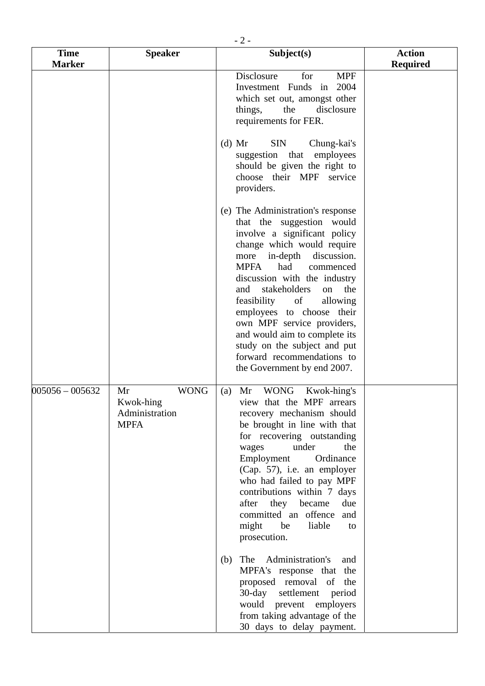|                              | $-2-$                                                           |                                                                                                                                                                                                                                                                                                                                                                                                                                                                                            |                                  |  |
|------------------------------|-----------------------------------------------------------------|--------------------------------------------------------------------------------------------------------------------------------------------------------------------------------------------------------------------------------------------------------------------------------------------------------------------------------------------------------------------------------------------------------------------------------------------------------------------------------------------|----------------------------------|--|
| <b>Time</b><br><b>Marker</b> | <b>Speaker</b>                                                  | Subject(s)                                                                                                                                                                                                                                                                                                                                                                                                                                                                                 | <b>Action</b><br><b>Required</b> |  |
|                              |                                                                 | Disclosure<br>for<br><b>MPF</b><br>Investment Funds in<br>2004<br>which set out, amongst other<br>disclosure<br>things,<br>the<br>requirements for FER.                                                                                                                                                                                                                                                                                                                                    |                                  |  |
|                              |                                                                 | <b>SIN</b><br>$(d)$ Mr<br>Chung-kai's<br>suggestion that<br>employees<br>should be given the right to<br>choose their MPF service<br>providers.                                                                                                                                                                                                                                                                                                                                            |                                  |  |
|                              |                                                                 | (e) The Administration's response<br>that the suggestion would<br>involve a significant policy<br>change which would require<br>more in-depth discussion.<br>had<br><b>MPFA</b><br>commenced<br>discussion with the industry<br>stakeholders<br>and<br>the<br>on<br>feasibility<br>of<br>allowing<br>employees to choose their<br>own MPF service providers,<br>and would aim to complete its<br>study on the subject and put<br>forward recommendations to<br>the Government by end 2007. |                                  |  |
| $005056 - 005632$            | Mr<br><b>WONG</b><br>Kwok-hing<br>Administration<br><b>MPFA</b> | WONG Kwok-hing's<br>Mr<br>(a)<br>view that the MPF arrears<br>recovery mechanism should<br>be brought in line with that<br>for recovering outstanding<br>under<br>the<br>wages<br>Employment<br>Ordinance<br>(Cap. 57), i.e. an employer<br>who had failed to pay MPF<br>contributions within 7 days<br>after<br>they<br>became<br>due<br>committed an offence<br>and<br>might<br>be<br>liable<br>to<br>prosecution.                                                                       |                                  |  |
|                              |                                                                 | The<br>Administration's<br>(b)<br>and<br>MPFA's response that the<br>proposed removal of the<br>$30$ -day<br>settlement period<br>would prevent employers<br>from taking advantage of the<br>30 days to delay payment.                                                                                                                                                                                                                                                                     |                                  |  |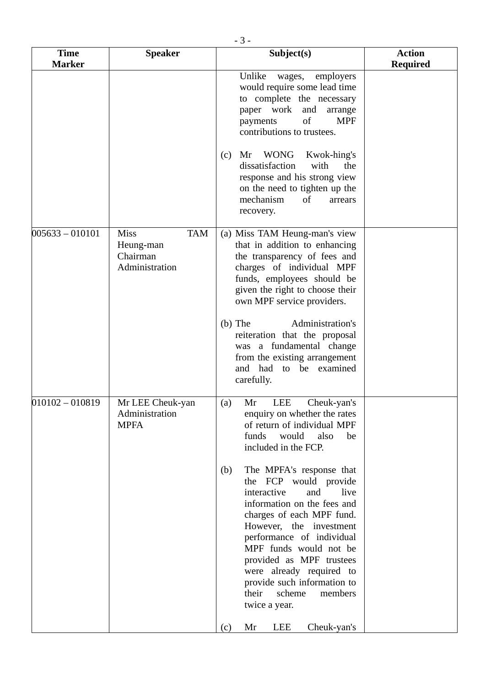|                              | $-3-$                                                                |                                                                                                                                                                                                                                                                                                                                                                            |                                  |  |  |
|------------------------------|----------------------------------------------------------------------|----------------------------------------------------------------------------------------------------------------------------------------------------------------------------------------------------------------------------------------------------------------------------------------------------------------------------------------------------------------------------|----------------------------------|--|--|
| <b>Time</b><br><b>Marker</b> | <b>Speaker</b>                                                       | Subject(s)                                                                                                                                                                                                                                                                                                                                                                 | <b>Action</b><br><b>Required</b> |  |  |
|                              |                                                                      | Unlike<br>employers<br>wages,<br>would require some lead time<br>to complete the necessary<br>paper work<br>and<br>arrange<br>of<br><b>MPF</b><br>payments<br>contributions to trustees.<br><b>WONG</b><br>Kwok-hing's<br>Mr<br>(c)<br>dissatisfaction<br>with<br>the                                                                                                      |                                  |  |  |
|                              |                                                                      | response and his strong view<br>on the need to tighten up the<br>mechanism<br>of<br>arrears<br>recovery.                                                                                                                                                                                                                                                                   |                                  |  |  |
| $005633 - 010101$            | <b>Miss</b><br><b>TAM</b><br>Heung-man<br>Chairman<br>Administration | (a) Miss TAM Heung-man's view<br>that in addition to enhancing<br>the transparency of fees and<br>charges of individual MPF<br>funds, employees should be<br>given the right to choose their<br>own MPF service providers.                                                                                                                                                 |                                  |  |  |
|                              |                                                                      | $(b)$ The<br>Administration's<br>reiteration that the proposal<br>was a fundamental change<br>from the existing arrangement<br>and had to be examined<br>carefully.                                                                                                                                                                                                        |                                  |  |  |
| $010102 - 010819$            | Mr LEE Cheuk-yan<br>Administration<br><b>MPFA</b>                    | LEE<br>Cheuk-yan's<br>(a)<br>Mr<br>enquiry on whether the rates<br>of return of individual MPF<br>would<br>funds<br>also<br>be<br>included in the FCP.                                                                                                                                                                                                                     |                                  |  |  |
|                              |                                                                      | The MPFA's response that<br>(b)<br>the FCP would provide<br>interactive<br>and<br>live<br>information on the fees and<br>charges of each MPF fund.<br>However, the investment<br>performance of individual<br>MPF funds would not be<br>provided as MPF trustees<br>were already required to<br>provide such information to<br>scheme<br>their<br>members<br>twice a year. |                                  |  |  |
|                              |                                                                      | Mr<br>LEE<br>Cheuk-yan's<br>(c)                                                                                                                                                                                                                                                                                                                                            |                                  |  |  |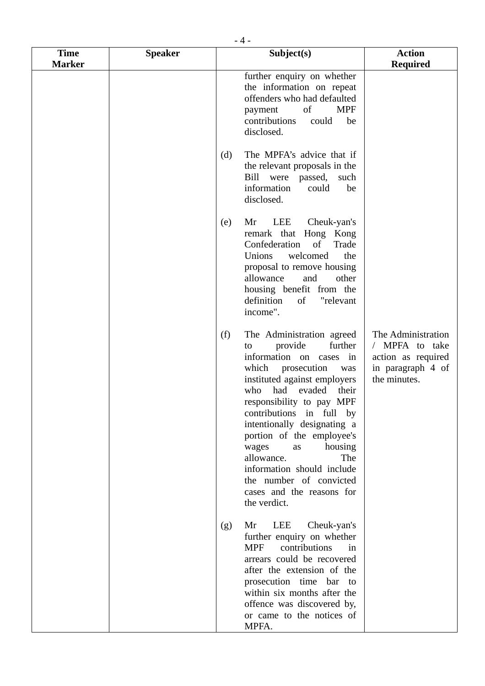|                              | $-4-$          |                                                                                                                                                                                                                                                                                                                                                                                                                                                   |                                                                                                              |  |
|------------------------------|----------------|---------------------------------------------------------------------------------------------------------------------------------------------------------------------------------------------------------------------------------------------------------------------------------------------------------------------------------------------------------------------------------------------------------------------------------------------------|--------------------------------------------------------------------------------------------------------------|--|
| <b>Time</b><br><b>Marker</b> | <b>Speaker</b> | Subject(s)                                                                                                                                                                                                                                                                                                                                                                                                                                        | <b>Action</b><br><b>Required</b>                                                                             |  |
|                              |                | further enquiry on whether<br>the information on repeat<br>offenders who had defaulted<br><b>MPF</b><br>of<br>payment<br>contributions<br>could<br>disclosed.                                                                                                                                                                                                                                                                                     | be                                                                                                           |  |
|                              |                | The MPFA's advice that if<br>(d)<br>the relevant proposals in the<br>Bill were passed,<br>such<br>information<br>could<br>disclosed.                                                                                                                                                                                                                                                                                                              | be                                                                                                           |  |
|                              |                | LEE<br>Cheuk-yan's<br>Mr<br>(e)<br>remark that Hong Kong<br>Confederation<br>of<br>Trade<br>Unions<br>welcomed<br>proposal to remove housing<br>allowance<br>other<br>and<br>housing benefit from the<br>definition<br>"relevant<br>of<br>income".                                                                                                                                                                                                | the                                                                                                          |  |
|                              |                | (f)<br>The Administration agreed<br>further<br>provide<br>to<br>information on cases<br>which prosecution<br>was<br>instituted against employers<br>had evaded<br>who<br>their<br>responsibility to pay MPF<br>contributions in full by<br>intentionally designating a<br>portion of the employee's<br>housing<br>wages<br>as<br>allowance.<br>information should include<br>the number of convicted<br>cases and the reasons for<br>the verdict. | The Administration<br>/ MPFA to take<br>in<br>action as required<br>in paragraph 4 of<br>the minutes.<br>The |  |
|                              |                | LEE<br>Mr<br>Cheuk-yan's<br>(g)<br>further enquiry on whether<br><b>MPF</b><br>contributions<br>arrears could be recovered<br>after the extension of the<br>prosecution time bar to<br>within six months after the<br>offence was discovered by,<br>or came to the notices of<br>MPFA.                                                                                                                                                            | in                                                                                                           |  |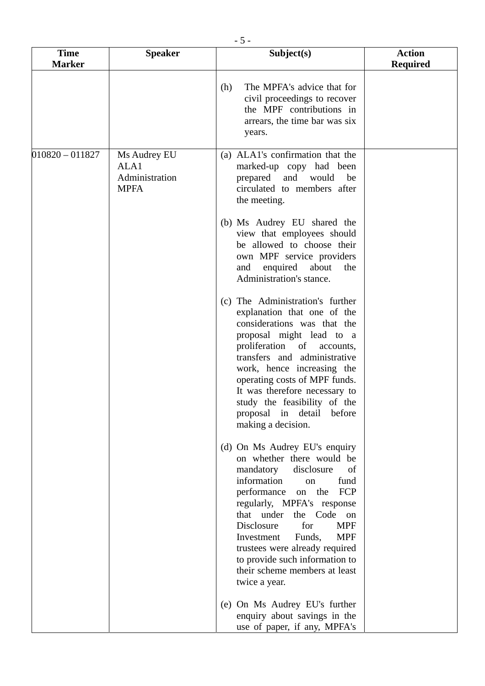| <b>Time</b><br><b>Marker</b> | <b>Speaker</b>                                        | Subject(s)                                                                                                                                                                                                                                                                                                                                                                                                      | <b>Action</b><br><b>Required</b> |
|------------------------------|-------------------------------------------------------|-----------------------------------------------------------------------------------------------------------------------------------------------------------------------------------------------------------------------------------------------------------------------------------------------------------------------------------------------------------------------------------------------------------------|----------------------------------|
|                              |                                                       | The MPFA's advice that for<br>(h)<br>civil proceedings to recover<br>the MPF contributions in<br>arrears, the time bar was six<br>years.                                                                                                                                                                                                                                                                        |                                  |
| $010820 - 011827$            | Ms Audrey EU<br>ALA1<br>Administration<br><b>MPFA</b> | (a) ALA1's confirmation that the<br>marked-up copy had been<br>prepared<br>and would<br>be<br>circulated to members after<br>the meeting.                                                                                                                                                                                                                                                                       |                                  |
|                              |                                                       | (b) Ms Audrey EU shared the<br>view that employees should<br>be allowed to choose their<br>own MPF service providers<br>enquired about<br>and<br>the<br>Administration's stance.                                                                                                                                                                                                                                |                                  |
|                              |                                                       | (c) The Administration's further<br>explanation that one of the<br>considerations was that the<br>proposal might lead to a<br>proliferation of accounts,<br>transfers and administrative<br>work, hence increasing the<br>operating costs of MPF funds.<br>It was therefore necessary to<br>study the feasibility of the<br>proposal in detail before<br>making a decision.                                     |                                  |
|                              |                                                       | (d) On Ms Audrey EU's enquiry<br>on whether there would be<br>mandatory<br>disclosure<br>of<br>information<br>fund<br>on<br>performance<br>on the<br>FCP<br>regularly, MPFA's response<br>that under the Code on<br>for<br>Disclosure<br><b>MPF</b><br><b>MPF</b><br>Investment<br>Funds,<br>trustees were already required<br>to provide such information to<br>their scheme members at least<br>twice a year. |                                  |
|                              |                                                       | (e) On Ms Audrey EU's further<br>enquiry about savings in the<br>use of paper, if any, MPFA's                                                                                                                                                                                                                                                                                                                   |                                  |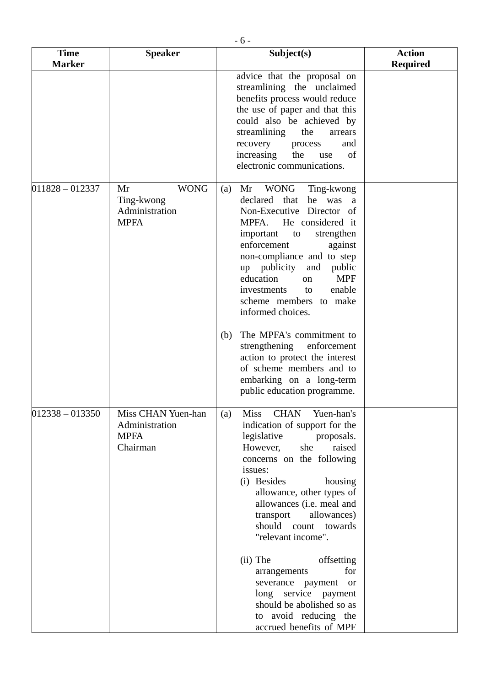|                              | $-6-$                                                            |                                                                                                                                                                                                                                                                                                                                                                                                                                                                                                                                                             |                                  |  |  |
|------------------------------|------------------------------------------------------------------|-------------------------------------------------------------------------------------------------------------------------------------------------------------------------------------------------------------------------------------------------------------------------------------------------------------------------------------------------------------------------------------------------------------------------------------------------------------------------------------------------------------------------------------------------------------|----------------------------------|--|--|
| <b>Time</b><br><b>Marker</b> | <b>Speaker</b>                                                   | Subject(s)                                                                                                                                                                                                                                                                                                                                                                                                                                                                                                                                                  | <b>Action</b><br><b>Required</b> |  |  |
|                              |                                                                  | advice that the proposal on<br>streamlining the unclaimed<br>benefits process would reduce<br>the use of paper and that this<br>could also be achieved by<br>streamlining<br>the<br>arrears<br>recovery<br>process<br>and<br>increasing<br>the<br>of<br>use<br>electronic communications.                                                                                                                                                                                                                                                                   |                                  |  |  |
| $011828 - 012337$            | <b>WONG</b><br>Mr<br>Ting-kwong<br>Administration<br><b>MPFA</b> | WONG<br>Mr<br>Ting-kwong<br>(a)<br>declared that<br>he was a<br>Non-Executive Director of<br>MPFA.<br>He considered it<br>important<br>strengthen<br>to<br>enforcement<br>against<br>non-compliance and to step<br>up publicity<br>and<br>public<br>education<br><b>MPF</b><br>on<br>enable<br>investments<br>to<br>scheme members to make<br>informed choices.<br>The MPFA's commitment to<br>(b)<br>strengthening<br>enforcement<br>action to protect the interest<br>of scheme members and to<br>embarking on a long-term<br>public education programme. |                                  |  |  |
| $012338 - 013350$            | Miss CHAN Yuen-han<br>Administration<br><b>MPFA</b><br>Chairman  | <b>CHAN</b><br>Yuen-han's<br><b>Miss</b><br>(a)<br>indication of support for the<br>legislative<br>proposals.<br>However,<br>raised<br>she<br>concerns on the following<br>issues:<br>(i) Besides<br>housing<br>allowance, other types of<br>allowances (i.e. meal and<br>allowances)<br>transport<br>should count towards<br>"relevant income".<br>$(ii)$ The<br>offsetting<br>for<br>arrangements<br>severance payment<br><b>or</b><br>long service payment<br>should be abolished so as<br>to avoid reducing the<br>accrued benefits of MPF              |                                  |  |  |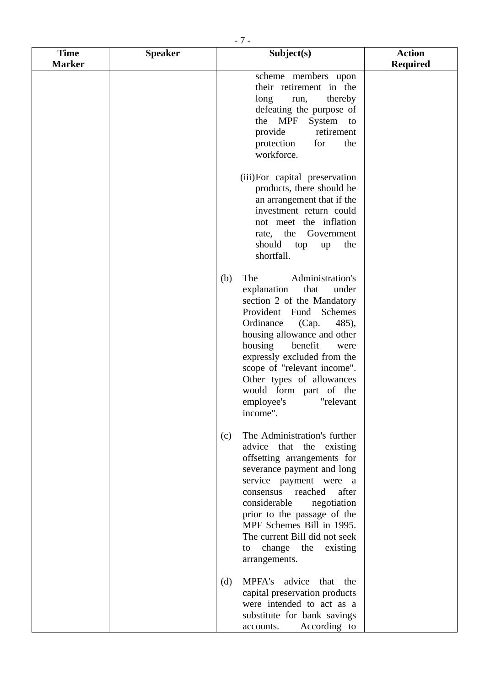| $-7-$                        |                |                                                                                                                                                                                                                                                                                                                                                                                |                                  |
|------------------------------|----------------|--------------------------------------------------------------------------------------------------------------------------------------------------------------------------------------------------------------------------------------------------------------------------------------------------------------------------------------------------------------------------------|----------------------------------|
| <b>Time</b><br><b>Marker</b> | <b>Speaker</b> | Subject(s)                                                                                                                                                                                                                                                                                                                                                                     | <b>Action</b><br><b>Required</b> |
|                              |                | scheme members upon<br>their retirement in the<br>long<br>thereby<br>run,<br>defeating the purpose of<br>System to<br>the MPF<br>retirement<br>provide<br>protection<br>for<br>the<br>workforce.                                                                                                                                                                               |                                  |
|                              |                | (iii) For capital preservation<br>products, there should be<br>an arrangement that if the<br>investment return could<br>not meet the inflation<br>rate, the Government<br>should<br>top<br>the<br>up<br>shortfall.                                                                                                                                                             |                                  |
|                              |                | Administration's<br>The<br>(b)<br>explanation<br>that<br>under<br>section 2 of the Mandatory<br>Provident Fund Schemes<br>Ordinance<br>(Cap.<br>485),<br>housing allowance and other<br>housing<br>benefit<br>were<br>expressly excluded from the<br>scope of "relevant income".<br>Other types of allowances<br>would form part of the<br>employee's<br>"relevant<br>income". |                                  |
|                              |                | The Administration's further<br>(c)<br>advice that the existing<br>offsetting arrangements for<br>severance payment and long<br>service payment were a<br>after<br>reached<br>consensus<br>considerable<br>negotiation<br>prior to the passage of the<br>MPF Schemes Bill in 1995.<br>The current Bill did not seek<br>change the<br>existing<br>to<br>arrangements.           |                                  |
|                              |                | MPFA's advice that the<br>(d)<br>capital preservation products<br>were intended to act as a<br>substitute for bank savings<br>According to<br>accounts.                                                                                                                                                                                                                        |                                  |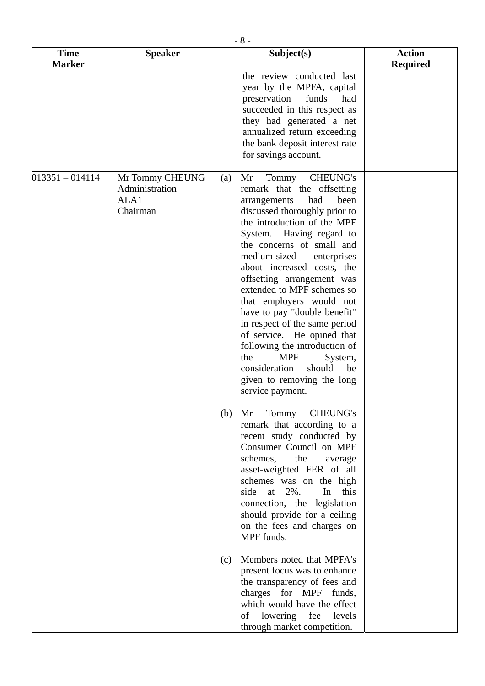| $-8-$                        |                                                       |     |                                                                                                                                                                                                                                                                                                                                                                                                                                                                                                                                                                                                                                 |                                  |
|------------------------------|-------------------------------------------------------|-----|---------------------------------------------------------------------------------------------------------------------------------------------------------------------------------------------------------------------------------------------------------------------------------------------------------------------------------------------------------------------------------------------------------------------------------------------------------------------------------------------------------------------------------------------------------------------------------------------------------------------------------|----------------------------------|
| <b>Time</b><br><b>Marker</b> | <b>Speaker</b>                                        |     | Subject(s)                                                                                                                                                                                                                                                                                                                                                                                                                                                                                                                                                                                                                      | <b>Action</b><br><b>Required</b> |
|                              |                                                       |     | the review conducted last<br>year by the MPFA, capital<br>preservation<br>funds<br>had<br>succeeded in this respect as<br>they had generated a net<br>annualized return exceeding<br>the bank deposit interest rate<br>for savings account.                                                                                                                                                                                                                                                                                                                                                                                     |                                  |
| $013351 - 014114$            | Mr Tommy CHEUNG<br>Administration<br>ALA1<br>Chairman | (a) | <b>CHEUNG's</b><br>Mr<br>Tommy<br>remark that the offsetting<br>had<br>been<br>arrangements<br>discussed thoroughly prior to<br>the introduction of the MPF<br>System.<br>Having regard to<br>the concerns of small and<br>medium-sized<br>enterprises<br>about increased costs, the<br>offsetting arrangement was<br>extended to MPF schemes so<br>that employers would not<br>have to pay "double benefit"<br>in respect of the same period<br>of service. He opined that<br>following the introduction of<br><b>MPF</b><br>the<br>System,<br>consideration<br>should<br>be<br>given to removing the long<br>service payment. |                                  |
|                              |                                                       | (b) | Tommy<br>CHEUNG's<br>Mr<br>remark that according to a<br>recent study conducted by<br>Consumer Council on MPF<br>schemes,<br>the<br>average<br>asset-weighted FER of all<br>schemes was on the high<br>2%.<br>In<br>side<br>at<br>this<br>connection, the legislation<br>should provide for a ceiling<br>on the fees and charges on<br>MPF funds.                                                                                                                                                                                                                                                                               |                                  |
|                              |                                                       | (c) | Members noted that MPFA's<br>present focus was to enhance<br>the transparency of fees and<br>charges for MPF funds,<br>which would have the effect<br>of lowering fee levels<br>through market competition.                                                                                                                                                                                                                                                                                                                                                                                                                     |                                  |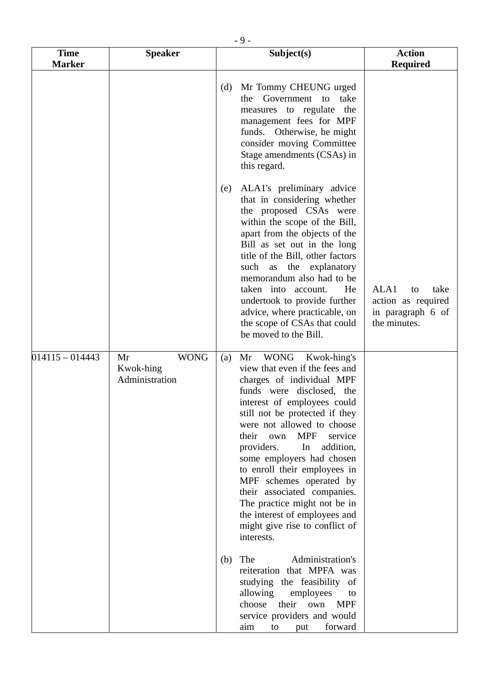|                              |                                                  | $-9-$                                                                                                                                                                                                                                                                                                                                                                                                                                                                                                                                      |                                                                               |
|------------------------------|--------------------------------------------------|--------------------------------------------------------------------------------------------------------------------------------------------------------------------------------------------------------------------------------------------------------------------------------------------------------------------------------------------------------------------------------------------------------------------------------------------------------------------------------------------------------------------------------------------|-------------------------------------------------------------------------------|
| <b>Time</b><br><b>Marker</b> | <b>Speaker</b>                                   | Subject(s)                                                                                                                                                                                                                                                                                                                                                                                                                                                                                                                                 | <b>Action</b><br><b>Required</b>                                              |
|                              |                                                  | Mr Tommy CHEUNG urged<br>(d)<br>Government to<br>take<br>the<br>measures to regulate<br>the<br>management fees for MPF<br>funds. Otherwise, he might<br>consider moving Committee<br>Stage amendments (CSAs) in<br>this regard.                                                                                                                                                                                                                                                                                                            |                                                                               |
|                              |                                                  | ALA1's preliminary advice<br>(e)<br>that in considering whether<br>the proposed CSAs were<br>within the scope of the Bill,<br>apart from the objects of the<br>Bill as set out in the long<br>title of the Bill, other factors<br>such as the explanatory<br>memorandum also had to be<br>taken into account.<br>He<br>undertook to provide further<br>advice, where practicable, on<br>the scope of CSAs that could<br>be moved to the Bill.                                                                                              | ALA1<br>take<br>to<br>action as required<br>in paragraph 6 of<br>the minutes. |
| $014115 - 014443$            | <b>WONG</b><br>Mr<br>Kwok-hing<br>Administration | WONG Kwok-hing's<br>Mr<br>(a)<br>view that even if the fees and<br>charges of individual MPF<br>funds were disclosed, the<br>interest of employees could<br>still not be protected if they<br>were not allowed to choose<br><b>MPF</b><br>their<br>service<br>own<br>addition,<br>providers.<br>In<br>some employers had chosen<br>to enroll their employees in<br>MPF schemes operated by<br>their associated companies.<br>The practice might not be in<br>the interest of employees and<br>might give rise to conflict of<br>interests. |                                                                               |
|                              |                                                  | Administration's<br>The<br>(b)<br>reiteration that MPFA was<br>studying the feasibility of<br>allowing<br>employees<br>to<br>choose<br>their own<br><b>MPF</b><br>service providers and would<br>forward<br>aim<br>to<br>put                                                                                                                                                                                                                                                                                                               |                                                                               |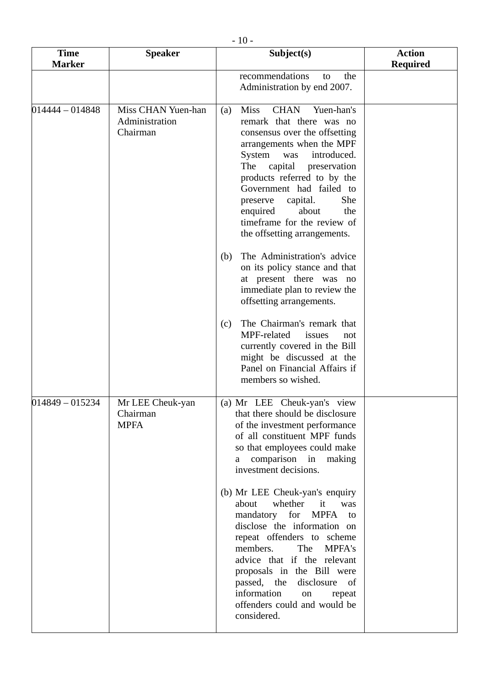| $-10-$                       |                                                  |                                                                                                                                                                                                                                                                                                                                                                                                                                                                                                                                                                                                                                                                                                                                                       |                                  |  |
|------------------------------|--------------------------------------------------|-------------------------------------------------------------------------------------------------------------------------------------------------------------------------------------------------------------------------------------------------------------------------------------------------------------------------------------------------------------------------------------------------------------------------------------------------------------------------------------------------------------------------------------------------------------------------------------------------------------------------------------------------------------------------------------------------------------------------------------------------------|----------------------------------|--|
| <b>Time</b><br><b>Marker</b> | <b>Speaker</b>                                   | Subject(s)                                                                                                                                                                                                                                                                                                                                                                                                                                                                                                                                                                                                                                                                                                                                            | <b>Action</b><br><b>Required</b> |  |
|                              |                                                  | recommendations<br>the<br>to<br>Administration by end 2007.                                                                                                                                                                                                                                                                                                                                                                                                                                                                                                                                                                                                                                                                                           |                                  |  |
| 014444 - 014848              | Miss CHAN Yuen-han<br>Administration<br>Chairman | <b>Miss</b><br><b>CHAN</b><br>Yuen-han's<br>(a)<br>remark that there was no<br>consensus over the offsetting<br>arrangements when the MPF<br>System<br>introduced.<br>was<br>The capital<br>preservation<br>products referred to by the<br>Government had failed to<br>She<br>capital.<br>preserve<br>enquired<br>about<br>the<br>timeframe for the review of<br>the offsetting arrangements.<br>The Administration's advice<br>(b)<br>on its policy stance and that<br>at present there was no<br>immediate plan to review the<br>offsetting arrangements.<br>The Chairman's remark that<br>(c)<br>MPF-related<br>issues<br>not<br>currently covered in the Bill<br>might be discussed at the<br>Panel on Financial Affairs if<br>members so wished. |                                  |  |
| 014849 - 015234              | Mr LEE Cheuk-yan<br>Chairman<br><b>MPFA</b>      | (a) Mr LEE Cheuk-yan's view<br>that there should be disclosure<br>of the investment performance<br>of all constituent MPF funds<br>so that employees could make<br>comparison in making<br>a a<br>investment decisions.<br>(b) Mr LEE Cheuk-yan's enquiry<br>about<br>whether it<br>was<br>mandatory for MPFA<br>to<br>disclose the information on<br>repeat offenders to scheme<br>members.<br><b>MPFA's</b><br>The<br>advice that if the relevant<br>proposals in the Bill were<br>passed, the<br>disclosure<br>of<br>information<br>on<br>repeat<br>offenders could and would be<br>considered.                                                                                                                                                    |                                  |  |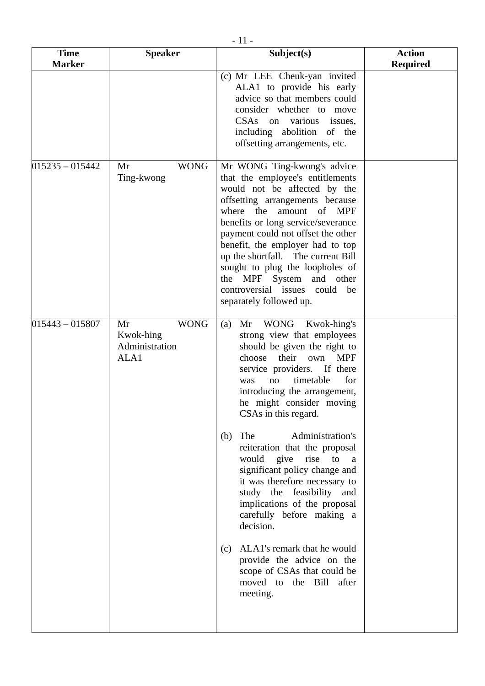| <b>Time</b><br><b>Marker</b> | <b>Speaker</b>                                           | Subject(s)                                                                                                                                                                                                                                                                                                                                                                                                                                                                                                                                                                                                                                                                                                            | <b>Action</b><br><b>Required</b> |
|------------------------------|----------------------------------------------------------|-----------------------------------------------------------------------------------------------------------------------------------------------------------------------------------------------------------------------------------------------------------------------------------------------------------------------------------------------------------------------------------------------------------------------------------------------------------------------------------------------------------------------------------------------------------------------------------------------------------------------------------------------------------------------------------------------------------------------|----------------------------------|
|                              |                                                          | (c) Mr LEE Cheuk-yan invited<br>ALA1 to provide his early<br>advice so that members could<br>consider whether to move<br>CSAs on various issues,<br>including abolition of the<br>offsetting arrangements, etc.                                                                                                                                                                                                                                                                                                                                                                                                                                                                                                       |                                  |
| $015235 - 015442$            | <b>WONG</b><br>Mr<br>Ting-kwong                          | Mr WONG Ting-kwong's advice<br>that the employee's entitlements<br>would not be affected by the<br>offsetting arrangements because<br>where<br>amount of MPF<br>the<br>benefits or long service/severance<br>payment could not offset the other<br>benefit, the employer had to top<br>up the shortfall. The current Bill<br>sought to plug the loopholes of<br>the MPF System and other<br>controversial issues<br>could<br>be<br>separately followed up.                                                                                                                                                                                                                                                            |                                  |
| $015443 - 015807$            | <b>WONG</b><br>Mr<br>Kwok-hing<br>Administration<br>ALA1 | WONG<br>Mr<br>Kwok-hing's<br>(a)<br>strong view that employees<br>should be given the right to<br>their<br><b>MPF</b><br>choose<br>own<br>service providers. If there<br>timetable<br>for<br>was<br>no<br>introducing the arrangement,<br>he might consider moving<br>CSAs in this regard.<br>Administration's<br>The<br>(b)<br>reiteration that the proposal<br>would give rise to<br><sub>a</sub><br>significant policy change and<br>it was therefore necessary to<br>study the feasibility and<br>implications of the proposal<br>carefully before making a<br>decision.<br>ALA1's remark that he would<br>(c)<br>provide the advice on the<br>scope of CSAs that could be<br>moved to the Bill after<br>meeting. |                                  |